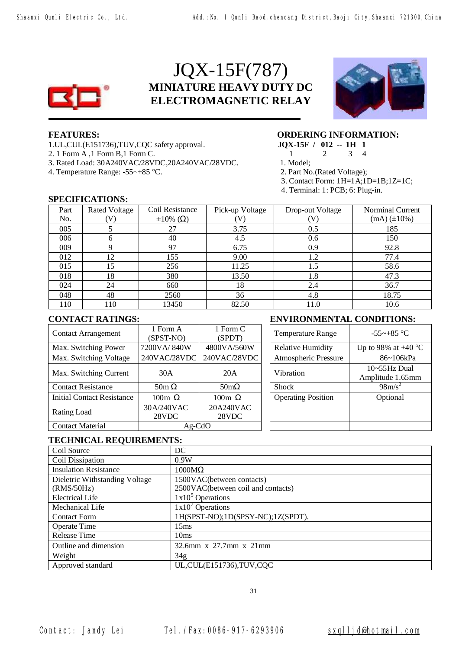

# JQX-15F(787) **MINIATURE HEAVY DUTY DC ELECTROMAGNETIC RELAY**



- 1.UL,CUL(E151736),TUV,CQC safety approval. **JQX-15F / 012 -- 1H 1**
- 2. 1 Form A ,1 Form B,1 Form C. 1 2 3 4
- 3. Rated Load: 30A240VAC/28VDC,20A240VAC/28VDC. 1. Model;
- 4. Temperature Range: -55~+85 °C. 2. Part No.(Rated Voltage);

## **FEATURES: ORDERING INFORMATION:**

- 
- 
- 
- 3. Contact Form: 1H=1A;1D=1B;1Z=1C;
- 4. Terminal: 1: PCB; 6: Plug-in.

### **SPECIFICATIONS:**

| Part | <b>Rated Voltage</b> | Coil Resistance         | Pick-up Voltage | Drop-out Voltage | <b>Norminal Current</b> |
|------|----------------------|-------------------------|-----------------|------------------|-------------------------|
| No.  | (V)                  | $\pm 10\%$ ( $\Omega$ ) |                 | (V)              | $(mA) (\pm 10\%)$       |
| 005  |                      | 27                      | 3.75            | 0.5              | 185                     |
| 006  | h                    | 40                      | 4.5             | 0.6              | 150                     |
| 009  |                      | 97                      | 6.75            | 0.9              | 92.8                    |
| 012  | 12                   | 155                     | 9.00            | 1.2              | 77.4                    |
| 015  | 15                   | 256                     | 11.25           | 1.5              | 58.6                    |
| 018  | 18                   | 380                     | 13.50           | 1.8              | 47.3                    |
| 024  | 24                   | 660                     | 18              | 2.4              | 36.7                    |
| 048  | 48                   | 2560                    | 36              | 4.8              | 18.75                   |
| 110  | 110                  | 13450                   | 82.50           | 11.0             | 10.6                    |

1 Form C

20A240VAC 28VDC

┽

# **CONTACT RATINGS: ENVIRONMENTAL CONDITIONS:**

| Form $C$<br>(SPDT)  | <b>Temperature Range</b>  | $-55$ ~+85 °C                            |
|---------------------|---------------------------|------------------------------------------|
| 0VA/560W            | <b>Relative Humidity</b>  | Up to 98% at $+40$ °C                    |
| /AC/28VDC           | Atmospheric Pressure      | 86~106kPa                                |
| 20A                 | Vibration                 | $10 \sim 55$ Hz Dual<br>Amplitude 1.65mm |
| $50 \text{m}\Omega$ | <b>Shock</b>              | $98 \text{m/s}^2$                        |
| 00m Ω               | <b>Operating Position</b> | Optional                                 |
| A240VAC<br>28VDC    |                           |                                          |
|                     |                           |                                          |

### **TECHNICAL REQUIREMENTS:**

Rating Load 30A/240VAC

Contact Material Ag-CdO

Contact Arrangement 1 Form A

(SPST-NO)

28VDC

Max. Switching Power  $|7200VA/840W|$  4800VA/560W Max. Switching Voltage 240VAC/28VDC 240VAC/28VDC

Max. Switching Current 30A 20A

Contact Resistance 50m  $\Omega$  50m $\Omega$  50m $\Omega$ Initial Contact Resistance 100m Ω 100m Ω

| Coil Source                    | DC                                 |
|--------------------------------|------------------------------------|
| Coil Dissipation               | 0.9W                               |
| <b>Insulation Resistance</b>   | $1000M\Omega$                      |
| Dieletric Withstanding Voltage | 1500VAC(between contacts)          |
| (RMS/50Hz)                     | 2500VAC(between coil and contacts) |
| <b>Electrical Life</b>         | $1x105$ Operations                 |
| Mechanical Life                | $1x10'$ Operations                 |
| <b>Contact Form</b>            | 1H(SPST-NO);1D(SPSY-NC);1Z(SPDT).  |
| <b>Operate Time</b>            | 15 <sub>ms</sub>                   |
| Release Time                   | 10 <sub>ms</sub>                   |
| Outline and dimension          | $32.6$ mm x $27.7$ mm x $21$ mm    |
| Weight                         | 34 <sub>g</sub>                    |
| Approved standard              | UL, CUL(E151736), TUV, CQC         |